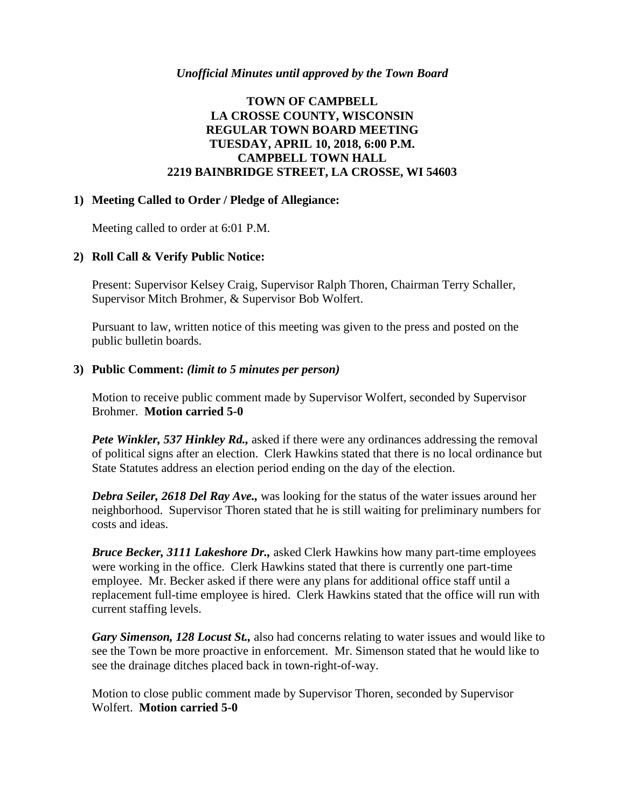# **TOWN OF CAMPBELL LA CROSSE COUNTY, WISCONSIN REGULAR TOWN BOARD MEETING TUESDAY, APRIL 10, 2018, 6:00 P.M. CAMPBELL TOWN HALL 2219 BAINBRIDGE STREET, LA CROSSE, WI 54603**

### **1) Meeting Called to Order / Pledge of Allegiance:**

Meeting called to order at 6:01 P.M.

#### **2) Roll Call & Verify Public Notice:**

Present: Supervisor Kelsey Craig, Supervisor Ralph Thoren, Chairman Terry Schaller, Supervisor Mitch Brohmer, & Supervisor Bob Wolfert.

Pursuant to law, written notice of this meeting was given to the press and posted on the public bulletin boards.

#### **3) Public Comment:** *(limit to 5 minutes per person)*

Motion to receive public comment made by Supervisor Wolfert, seconded by Supervisor Brohmer. **Motion carried 5-0**

*Pete Winkler, 537 Hinkley Rd.,* asked if there were any ordinances addressing the removal of political signs after an election. Clerk Hawkins stated that there is no local ordinance but State Statutes address an election period ending on the day of the election.

*Debra Seiler, 2618 Del Ray Ave.,* was looking for the status of the water issues around her neighborhood. Supervisor Thoren stated that he is still waiting for preliminary numbers for costs and ideas.

*Bruce Becker, 3111 Lakeshore Dr.,* asked Clerk Hawkins how many part-time employees were working in the office. Clerk Hawkins stated that there is currently one part-time employee. Mr. Becker asked if there were any plans for additional office staff until a replacement full-time employee is hired. Clerk Hawkins stated that the office will run with current staffing levels.

*Gary Simenson, 128 Locust St.,* also had concerns relating to water issues and would like to see the Town be more proactive in enforcement. Mr. Simenson stated that he would like to see the drainage ditches placed back in town-right-of-way.

Motion to close public comment made by Supervisor Thoren, seconded by Supervisor Wolfert. **Motion carried 5-0**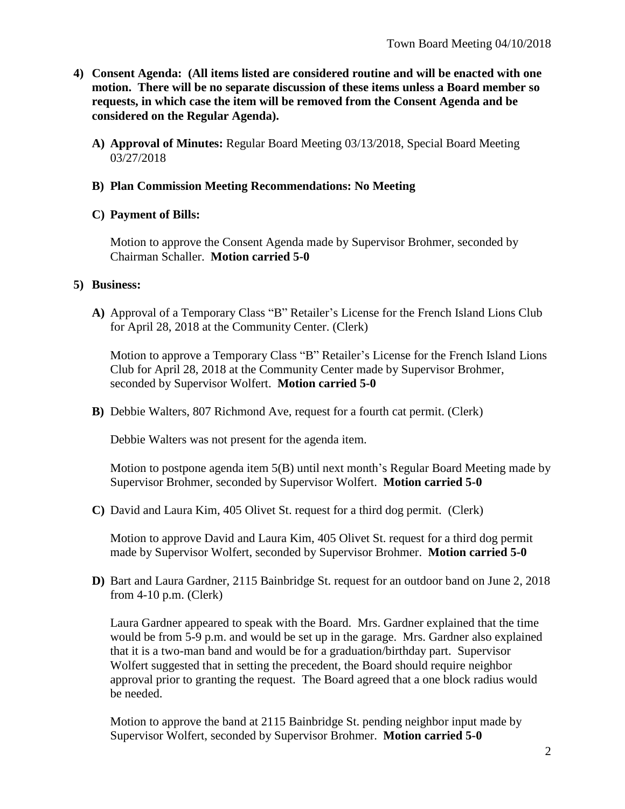- **4) Consent Agenda: (All items listed are considered routine and will be enacted with one motion. There will be no separate discussion of these items unless a Board member so requests, in which case the item will be removed from the Consent Agenda and be considered on the Regular Agenda).**
	- **A) Approval of Minutes:** Regular Board Meeting 03/13/2018, Special Board Meeting 03/27/2018

### **B) Plan Commission Meeting Recommendations: No Meeting**

### **C) Payment of Bills:**

Motion to approve the Consent Agenda made by Supervisor Brohmer, seconded by Chairman Schaller. **Motion carried 5-0**

#### **5) Business:**

**A)** Approval of a Temporary Class "B" Retailer's License for the French Island Lions Club for April 28, 2018 at the Community Center. (Clerk)

Motion to approve a Temporary Class "B" Retailer's License for the French Island Lions Club for April 28, 2018 at the Community Center made by Supervisor Brohmer, seconded by Supervisor Wolfert. **Motion carried 5-0**

**B)** Debbie Walters, 807 Richmond Ave, request for a fourth cat permit. (Clerk)

Debbie Walters was not present for the agenda item.

Motion to postpone agenda item 5(B) until next month's Regular Board Meeting made by Supervisor Brohmer, seconded by Supervisor Wolfert. **Motion carried 5-0**

**C)** David and Laura Kim, 405 Olivet St. request for a third dog permit. (Clerk)

Motion to approve David and Laura Kim, 405 Olivet St. request for a third dog permit made by Supervisor Wolfert, seconded by Supervisor Brohmer. **Motion carried 5-0**

**D)** Bart and Laura Gardner, 2115 Bainbridge St. request for an outdoor band on June 2, 2018 from 4-10 p.m. (Clerk)

Laura Gardner appeared to speak with the Board. Mrs. Gardner explained that the time would be from 5-9 p.m. and would be set up in the garage. Mrs. Gardner also explained that it is a two-man band and would be for a graduation/birthday part. Supervisor Wolfert suggested that in setting the precedent, the Board should require neighbor approval prior to granting the request. The Board agreed that a one block radius would be needed.

Motion to approve the band at 2115 Bainbridge St. pending neighbor input made by Supervisor Wolfert, seconded by Supervisor Brohmer. **Motion carried 5-0**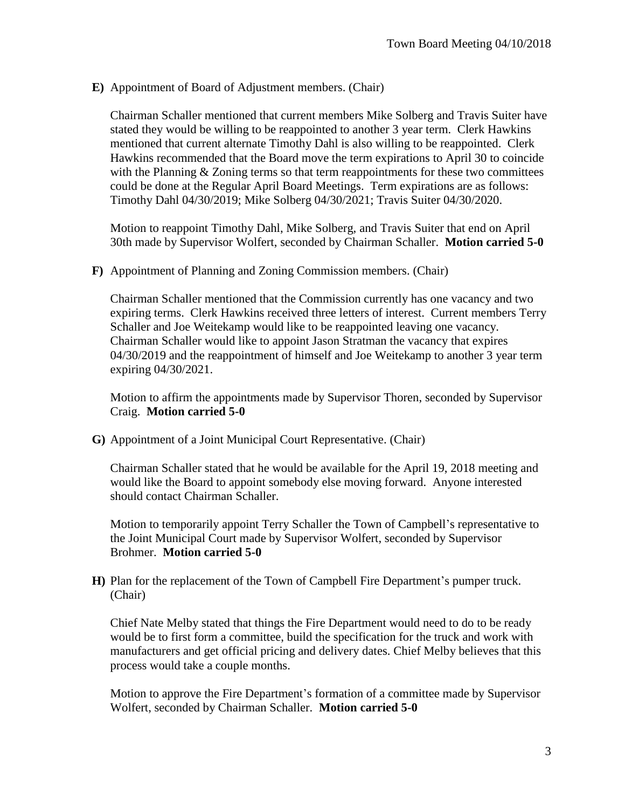**E)** Appointment of Board of Adjustment members. (Chair)

Chairman Schaller mentioned that current members Mike Solberg and Travis Suiter have stated they would be willing to be reappointed to another 3 year term. Clerk Hawkins mentioned that current alternate Timothy Dahl is also willing to be reappointed. Clerk Hawkins recommended that the Board move the term expirations to April 30 to coincide with the Planning  $& Zoning$  terms so that term reappointments for these two committees could be done at the Regular April Board Meetings. Term expirations are as follows: Timothy Dahl 04/30/2019; Mike Solberg 04/30/2021; Travis Suiter 04/30/2020.

Motion to reappoint Timothy Dahl, Mike Solberg, and Travis Suiter that end on April 30th made by Supervisor Wolfert, seconded by Chairman Schaller. **Motion carried 5-0**

**F)** Appointment of Planning and Zoning Commission members. (Chair)

Chairman Schaller mentioned that the Commission currently has one vacancy and two expiring terms. Clerk Hawkins received three letters of interest. Current members Terry Schaller and Joe Weitekamp would like to be reappointed leaving one vacancy. Chairman Schaller would like to appoint Jason Stratman the vacancy that expires 04/30/2019 and the reappointment of himself and Joe Weitekamp to another 3 year term expiring 04/30/2021.

Motion to affirm the appointments made by Supervisor Thoren, seconded by Supervisor Craig. **Motion carried 5-0**

**G)** Appointment of a Joint Municipal Court Representative. (Chair)

Chairman Schaller stated that he would be available for the April 19, 2018 meeting and would like the Board to appoint somebody else moving forward. Anyone interested should contact Chairman Schaller.

Motion to temporarily appoint Terry Schaller the Town of Campbell's representative to the Joint Municipal Court made by Supervisor Wolfert, seconded by Supervisor Brohmer. **Motion carried 5-0**

**H)** Plan for the replacement of the Town of Campbell Fire Department's pumper truck. (Chair)

Chief Nate Melby stated that things the Fire Department would need to do to be ready would be to first form a committee, build the specification for the truck and work with manufacturers and get official pricing and delivery dates. Chief Melby believes that this process would take a couple months.

Motion to approve the Fire Department's formation of a committee made by Supervisor Wolfert, seconded by Chairman Schaller. **Motion carried 5-0**